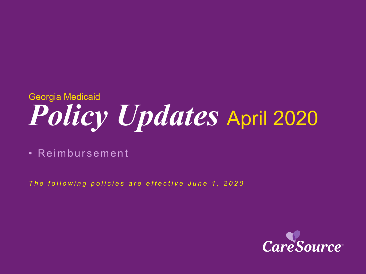# *Policy Updates* April 2020 Georgia Medicaid

• Reimbursement

*The following policies are effective June 1, 2020*

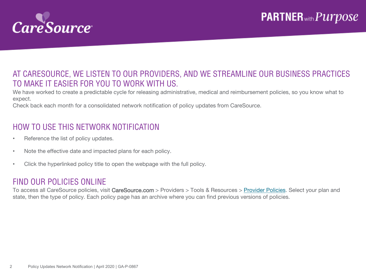

### AT CARESOURCE, WE LISTEN TO OUR PROVIDERS, AND WE STREAMLINE OUR BUSINESS PRACTICES TO MAKE IT EASIER FOR YOU TO WORK WITH US.

We have worked to create a predictable cycle for releasing administrative, medical and reimbursement policies, so you know what to expect.

Check back each month for a consolidated network notification of policy updates from CareSource.

### HOW TO USE THIS NETWORK NOTIFICATION

- Reference the list of policy updates.
- Note the effective date and impacted plans for each policy.
- Click the hyperlinked policy title to open the webpage with the full policy.

#### FIND OUR POLICIES ONLINE

To access all CareSource policies, visit CareSource.com > Providers > Tools & Resources > [Provider Policies.](https://www.caresource.com/providers/tools-resources/health-partner-policies/) Select your plan and state, then the type of policy. Each policy page has an archive where you can find previous versions of policies.